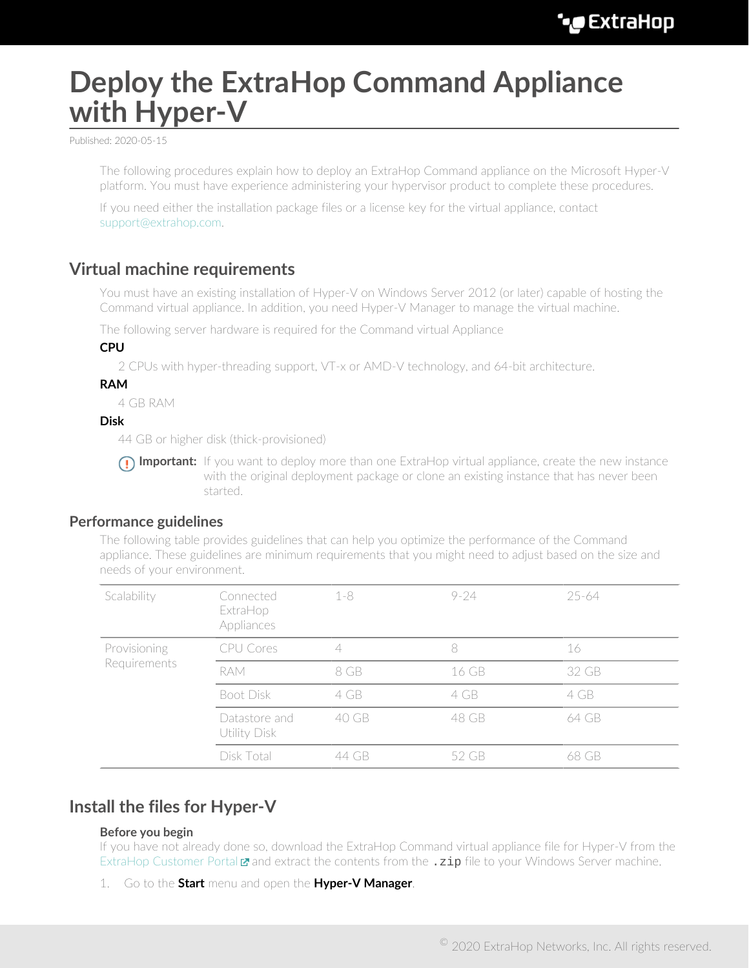# **Deploy the ExtraHop Command Appliance with Hyper-V**

Published: 2020-05-15

The following procedures explain how to deploy an ExtraHop Command appliance on the Microsoft Hyper-V platform. You must have experience administering your hypervisor product to complete these procedures.

If you need either the installation package files or a license key for the virtual appliance, contact [support@extrahop.com](mailto:support@extrahop.com).

## **Virtual machine requirements**

You must have an existing installation of Hyper-V on Windows Server 2012 (or later) capable of hosting the Command virtual appliance. In addition, you need Hyper-V Manager to manage the virtual machine.

The following server hardware is required for the Command virtual Appliance

#### **CPU**

2 CPUs with hyper-threading support, VT-x or AMD-V technology, and 64-bit architecture.

#### **RAM**

4 GB RAM

#### **Disk**

44 GB or higher disk (thick-provisioned)

**Important:** If you want to deploy more than one ExtraHop virtual appliance, create the new instance with the original deployment package or clone an existing instance that has never been started.

### **Performance guidelines**

The following table provides guidelines that can help you optimize the performance of the Command appliance. These guidelines are minimum requirements that you might need to adjust based on the size and needs of your environment.

| Scalability                  | Connected<br>ExtraHop<br>Appliances | $1 - 8$ | $9 - 24$ | 25-64 |
|------------------------------|-------------------------------------|---------|----------|-------|
| Provisioning<br>Requirements | CPU Cores                           |         | 8        | 16    |
|                              | <b>RAM</b>                          | 8 GB    | 16 GB    | 32 GB |
|                              | Boot Disk                           | 4 GB    | 4 GB     | 4 GB  |
|                              | Datastore and<br>Utility Disk       | 40 GB   | 48 GB    | 64 GB |
|                              | Disk Total                          | 44 GB   | 52 GB    | 68 GB |

## **Install the files for Hyper-V**

#### **Before you begin**

If you have not already done so, download the ExtraHop Command virtual appliance file for Hyper-V from the [ExtraHop Customer Portal](https://customers.extrahop.com/downloads/virtual-appliances/)  $\mathbf{z}$  and extract the contents from the  $\cdot$ zip file to your Windows Server machine.

1. Go to the **Start** menu and open the **Hyper-V Manager**.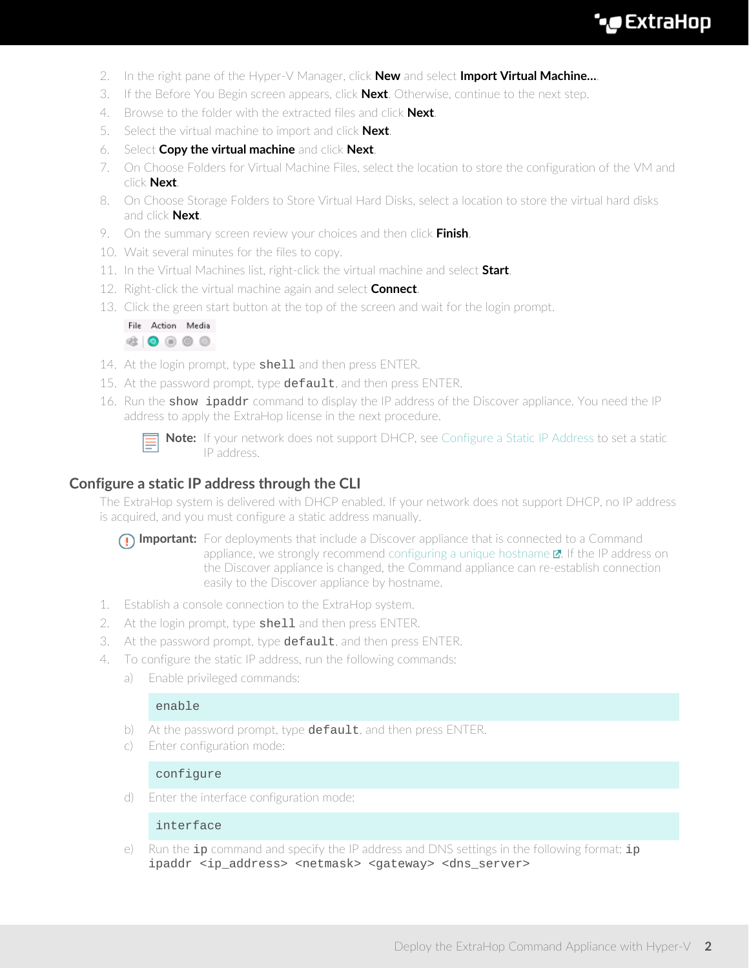

- 2. In the right pane of the Hyper-V Manager, click **New** and select **Import Virtual Machine…**.
- 3. If the Before You Begin screen appears, click **Next**. Otherwise, continue to the next step.
- 4. Browse to the folder with the extracted files and click **Next**.
- 5. Select the virtual machine to import and click **Next**.
- 6. Select **Copy the virtual machine** and click **Next**.
- 7. On Choose Folders for Virtual Machine Files, select the location to store the configuration of the VM and click **Next**.
- 8. On Choose Storage Folders to Store Virtual Hard Disks, select a location to store the virtual hard disks and click **Next**.
- 9. On the summary screen review your choices and then click **Finish**.
- 10. Wait several minutes for the files to copy.
- 11. In the Virtual Machines list, right-click the virtual machine and select **Start**.
- 12. Right-click the virtual machine again and select **Connect**.
- 13. Click the green start button at the top of the screen and wait for the login prompt.



- 14. At the login prompt, type shell and then press ENTER.
- 15. At the password prompt, type default, and then press ENTER.
- 16. Run the show ipaddr command to display the IP address of the Discover appliance. You need the IP address to apply the ExtraHop license in the next procedure.



**Note:** If your network does not support DHCP, see [Configure a Static IP Address](#page-1-0) to set a static IP address.

## <span id="page-1-0"></span>**Configure a static IP address through the CLI**

The ExtraHop system is delivered with DHCP enabled. If your network does not support DHCP, no IP address is acquired, and you must configure a static address manually.

- **Important:** For deployments that include a Discover appliance that is connected to a Command appliance, we strongly recommend configuring a unique hostname  $\mathbb{Z}$ . If the IP address on the Discover appliance is changed, the Command appliance can re-establish connection easily to the Discover appliance by hostname.
- 1. Establish a console connection to the ExtraHop system.
- 2. At the login prompt, type shell and then press ENTER.
- 3. At the password prompt, type default, and then press ENTER.
- 4. To configure the static IP address, run the following commands:
	- a) Enable privileged commands:

#### enable

- b) At the password prompt, type default, and then press ENTER.
- c) Enter configuration mode:

#### configure

d) Enter the interface configuration mode:

#### interface

e) Run the  $ip$  command and specify the IP address and DNS settings in the following format:  $ip$ ipaddr <ip\_address> <netmask> <gateway> <dns\_server>